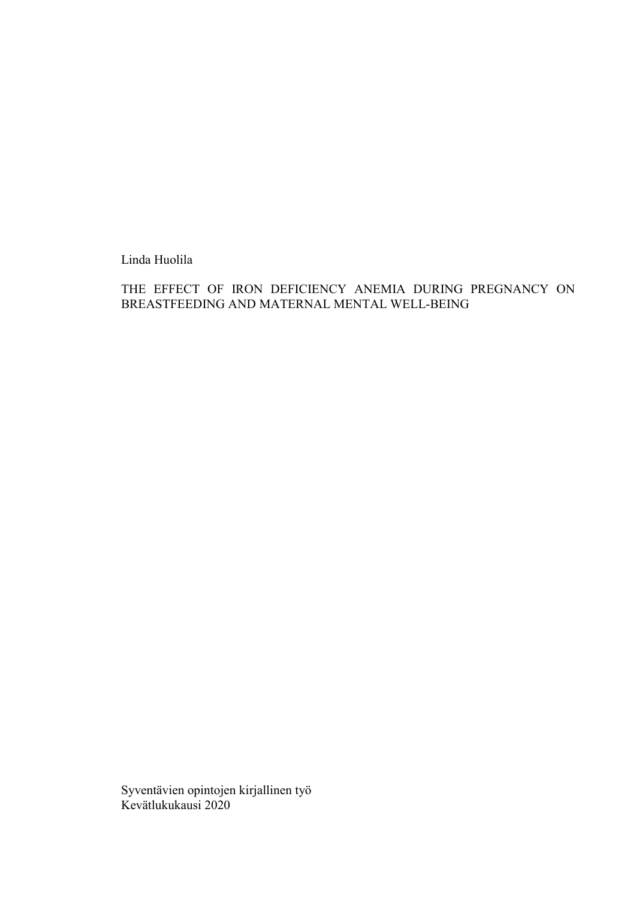Linda Huolila

THE EFFECT OF IRON DEFICIENCY ANEMIA DURING PREGNANCY ON BREASTFEEDING AND MATERNAL MENTAL WELL-BEING

Syventävien opintojen kirjallinen työ Kevätlukukausi 2020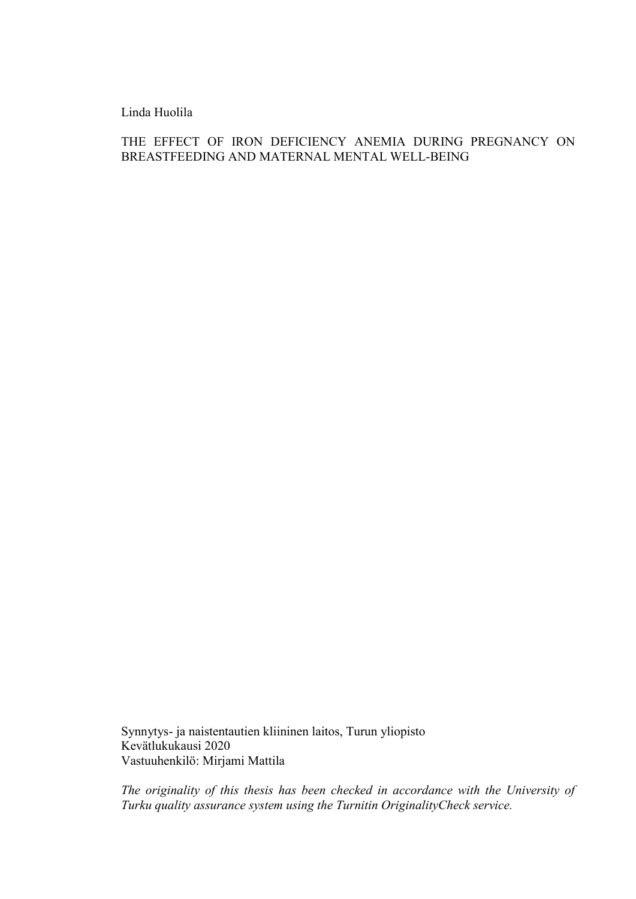Linda Huolila

THE EFFECT OF IRON DEFICIENCY ANEMIA DURING PREGNANCY ON BREASTFEEDING AND MATERNAL MENTAL WELL-BEING

Synnytys- ja naistentautien kliininen laitos, Turun yliopisto Kevätlukukausi 2020 Vastuuhenkilö: Mirjami Mattila

*The originality of this thesis has been checked in accordance with the University of Turku quality assurance system using the Turnitin OriginalityCheck service.*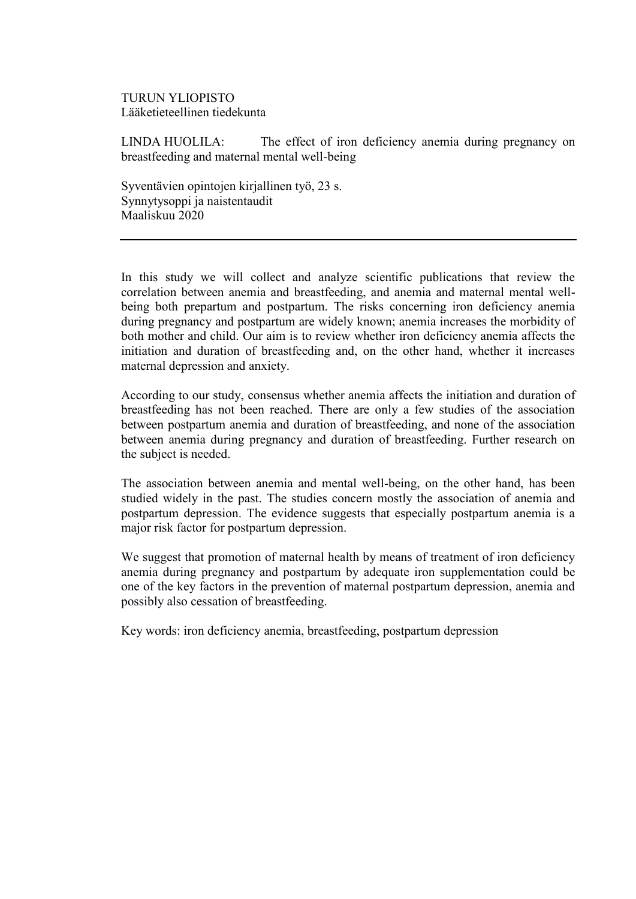### TURUN YLIOPISTO Lääketieteellinen tiedekunta

LINDA HUOLILA: The effect of iron deficiency anemia during pregnancy on breastfeeding and maternal mental well-being

Syventävien opintojen kirjallinen työ, 23 s. Synnytysoppi ja naistentaudit Maaliskuu 2020

In this study we will collect and analyze scientific publications that review the correlation between anemia and breastfeeding, and anemia and maternal mental wellbeing both prepartum and postpartum. The risks concerning iron deficiency anemia during pregnancy and postpartum are widely known; anemia increases the morbidity of both mother and child. Our aim is to review whether iron deficiency anemia affects the initiation and duration of breastfeeding and, on the other hand, whether it increases maternal depression and anxiety.

According to our study, consensus whether anemia affects the initiation and duration of breastfeeding has not been reached. There are only a few studies of the association between postpartum anemia and duration of breastfeeding, and none of the association between anemia during pregnancy and duration of breastfeeding. Further research on the subject is needed.

The association between anemia and mental well-being, on the other hand, has been studied widely in the past. The studies concern mostly the association of anemia and postpartum depression. The evidence suggests that especially postpartum anemia is a major risk factor for postpartum depression.

We suggest that promotion of maternal health by means of treatment of iron deficiency anemia during pregnancy and postpartum by adequate iron supplementation could be one of the key factors in the prevention of maternal postpartum depression, anemia and possibly also cessation of breastfeeding.

Key words: iron deficiency anemia, breastfeeding, postpartum depression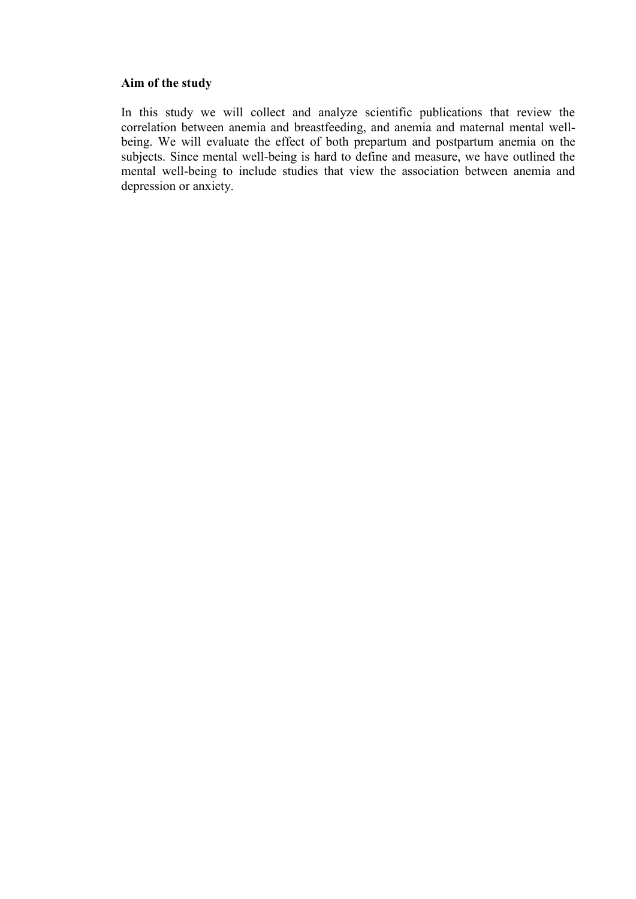### **Aim of the study**

In this study we will collect and analyze scientific publications that review the correlation between anemia and breastfeeding, and anemia and maternal mental wellbeing. We will evaluate the effect of both prepartum and postpartum anemia on the subjects. Since mental well-being is hard to define and measure, we have outlined the mental well-being to include studies that view the association between anemia and depression or anxiety.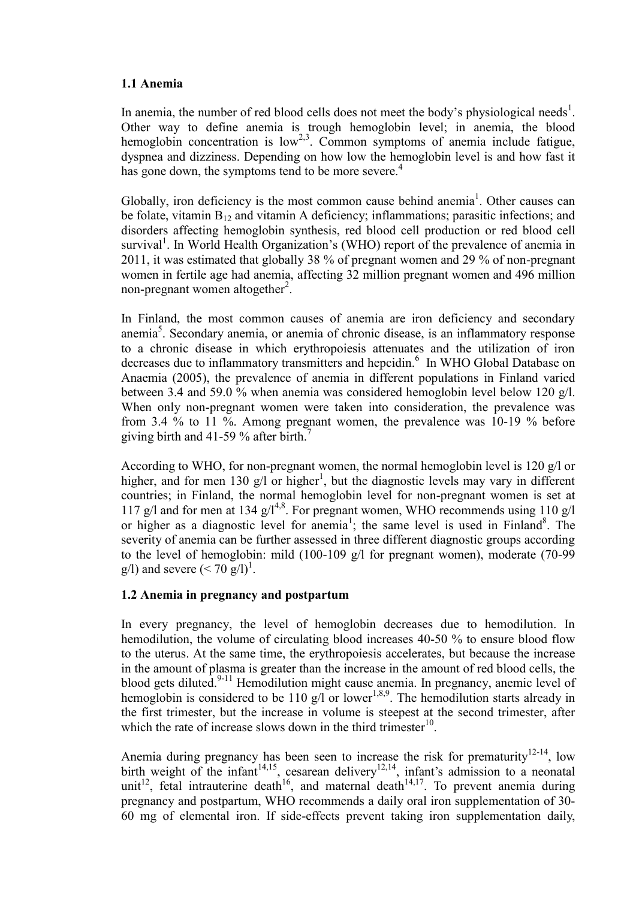# **1.1 Anemia**

In anemia, the number of red blood cells does not meet the body's physiological needs<sup>1</sup>. Other way to define anemia is trough hemoglobin level; in anemia, the blood hemoglobin concentration is  $low^{2,3}$ . Common symptoms of anemia include fatigue, dyspnea and dizziness. Depending on how low the hemoglobin level is and how fast it has gone down, the symptoms tend to be more severe.<sup>4</sup>

Globally, iron deficiency is the most common cause behind anemia<sup>1</sup>. Other causes can be folate, vitamin  $B_{12}$  and vitamin A deficiency; inflammations; parasitic infections; and disorders affecting hemoglobin synthesis, red blood cell production or red blood cell survival<sup>1</sup>. In World Health Organization's (WHO) report of the prevalence of anemia in 2011, it was estimated that globally 38 % of pregnant women and 29 % of non-pregnant women in fertile age had anemia, affecting 32 million pregnant women and 496 million non-pregnant women altogether<sup>2</sup>.

In Finland, the most common causes of anemia are iron deficiency and secondary anemia<sup>5</sup>. Secondary anemia, or anemia of chronic disease, is an inflammatory response to a chronic disease in which erythropoiesis attenuates and the utilization of iron decreases due to inflammatory transmitters and hepcidin.<sup>6</sup> In WHO Global Database on Anaemia (2005), the prevalence of anemia in different populations in Finland varied between 3.4 and 59.0 % when anemia was considered hemoglobin level below 120  $\alpha/1$ . When only non-pregnant women were taken into consideration, the prevalence was from 3.4 % to 11 %. Among pregnant women, the prevalence was 10-19 % before giving birth and 41-59 % after birth.<sup>7</sup>

According to WHO, for non-pregnant women, the normal hemoglobin level is 120 g/l or higher, and for men 130  $g/I$  or higher<sup>1</sup>, but the diagnostic levels may vary in different countries; in Finland, the normal hemoglobin level for non-pregnant women is set at 117 g/l and for men at 134 g/l<sup>4,8</sup>. For pregnant women, WHO recommends using 110 g/l or higher as a diagnostic level for anemia<sup>1</sup>; the same level is used in Finland<sup>8</sup>. The severity of anemia can be further assessed in three different diagnostic groups according to the level of hemoglobin: mild (100-109 g/l for pregnant women), moderate (70-99 g/l) and severe  $(< 70 \text{ g/l})^1$ .

# **1.2 Anemia in pregnancy and postpartum**

In every pregnancy, the level of hemoglobin decreases due to hemodilution. In hemodilution, the volume of circulating blood increases 40-50 % to ensure blood flow to the uterus. At the same time, the erythropoiesis accelerates, but because the increase in the amount of plasma is greater than the increase in the amount of red blood cells, the blood gets diluted.<sup>9-11</sup> Hemodilution might cause anemia. In pregnancy, anemic level of hemoglobin is considered to be 110 g/l or lower<sup>1,8,9</sup>. The hemodilution starts already in the first trimester, but the increase in volume is steepest at the second trimester, after which the rate of increase slows down in the third trimester $10$ .

Anemia during pregnancy has been seen to increase the risk for prematurity  $12-14$ , low birth weight of the infant<sup>14,15</sup>, cesarean delivery<sup>12,14</sup>, infant's admission to a neonatal unit<sup>12</sup>, fetal intrauterine death<sup>16</sup>, and maternal death<sup>14,17</sup>. To prevent anemia during pregnancy and postpartum, WHO recommends a daily oral iron supplementation of 30- 60 mg of elemental iron. If side-effects prevent taking iron supplementation daily,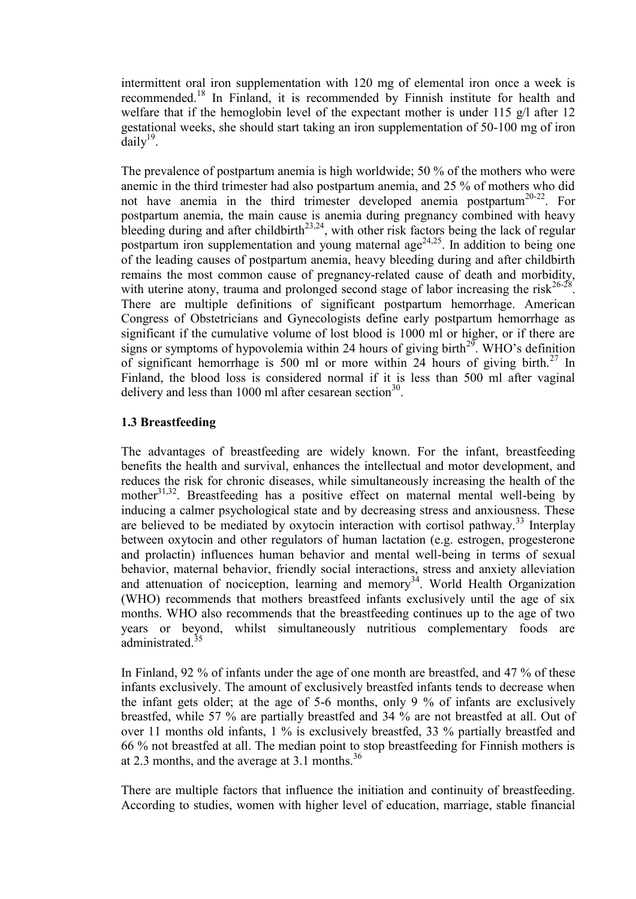intermittent oral iron supplementation with 120 mg of elemental iron once a week is recommended.<sup>18</sup> In Finland, it is recommended by Finnish institute for health and welfare that if the hemoglobin level of the expectant mother is under 115 g/l after 12 gestational weeks, she should start taking an iron supplementation of 50-100 mg of iron  $\bar{d}$ aily<sup>19</sup>.

The prevalence of postpartum anemia is high worldwide; 50 % of the mothers who were anemic in the third trimester had also postpartum anemia, and 25 % of mothers who did not have anemia in the third trimester developed anemia postpartum<sup>20-22</sup>. For postpartum anemia, the main cause is anemia during pregnancy combined with heavy bleeding during and after childbirth<sup>23,24</sup>, with other risk factors being the lack of regular postpartum iron supplementation and young maternal age<sup>24,25</sup>. In addition to being one of the leading causes of postpartum anemia, heavy bleeding during and after childbirth remains the most common cause of pregnancy-related cause of death and morbidity, with uterine atony, trauma and prolonged second stage of labor increasing the risk<sup>26-28</sup>. There are multiple definitions of significant postpartum hemorrhage. American Congress of Obstetricians and Gynecologists define early postpartum hemorrhage as significant if the cumulative volume of lost blood is 1000 ml or higher, or if there are signs or symptoms of hypovolemia within 24 hours of giving birth<sup>29</sup>. WHO's definition of significant hemorrhage is 500 ml or more within 24 hours of giving birth.<sup>27</sup> In Finland, the blood loss is considered normal if it is less than 500 ml after vaginal delivery and less than 1000 ml after cesarean section<sup>30</sup>.

# **1.3 Breastfeeding**

The advantages of breastfeeding are widely known. For the infant, breastfeeding benefits the health and survival, enhances the intellectual and motor development, and reduces the risk for chronic diseases, while simultaneously increasing the health of the mother $3^{1,32}$ . Breastfeeding has a positive effect on maternal mental well-being by inducing a calmer psychological state and by decreasing stress and anxiousness. These are believed to be mediated by oxytocin interaction with cortisol pathway.<sup>33</sup> Interplay between oxytocin and other regulators of human lactation (e.g. estrogen, progesterone and prolactin) influences human behavior and mental well-being in terms of sexual behavior, maternal behavior, friendly social interactions, stress and anxiety alleviation and attenuation of nociception, learning and memory<sup>34</sup>. World Health Organization (WHO) recommends that mothers breastfeed infants exclusively until the age of six months. WHO also recommends that the breastfeeding continues up to the age of two years or beyond, whilst simultaneously nutritious complementary foods are administrated<sup>35</sup>

In Finland, 92 % of infants under the age of one month are breastfed, and 47 % of these infants exclusively. The amount of exclusively breastfed infants tends to decrease when the infant gets older; at the age of 5-6 months, only 9 % of infants are exclusively breastfed, while 57 % are partially breastfed and 34 % are not breastfed at all. Out of over 11 months old infants, 1 % is exclusively breastfed, 33 % partially breastfed and 66 % not breastfed at all. The median point to stop breastfeeding for Finnish mothers is at 2.3 months, and the average at 3.1 months.<sup>36</sup>

There are multiple factors that influence the initiation and continuity of breastfeeding. According to studies, women with higher level of education, marriage, stable financial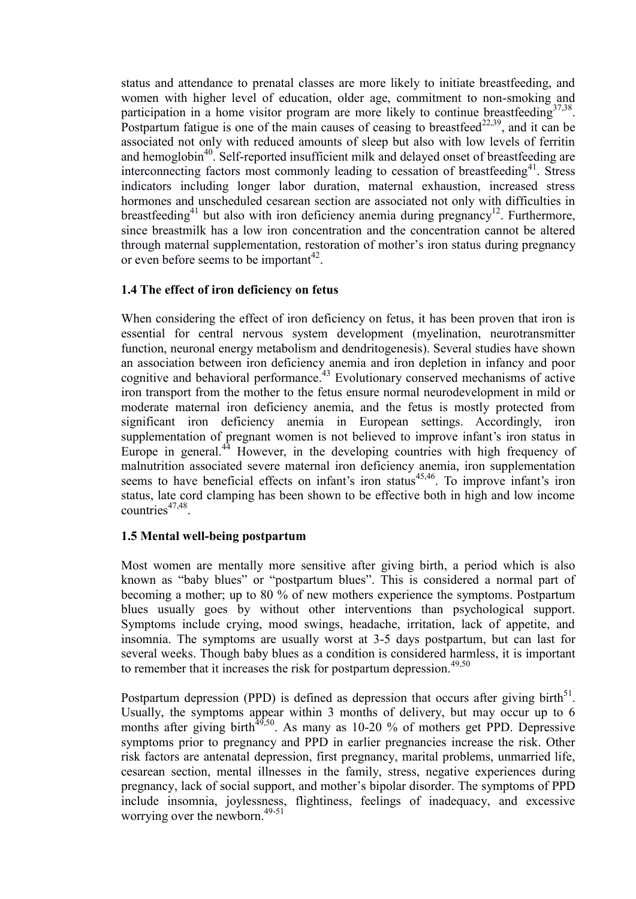status and attendance to prenatal classes are more likely to initiate breastfeeding, and women with higher level of education, older age, commitment to non-smoking and participation in a home visitor program are more likely to continue breastfeeding  $37,38$ . Postpartum fatigue is one of the main causes of ceasing to breastfeed<sup>22,39</sup>, and it can be associated not only with reduced amounts of sleep but also with low levels of ferritin and hemoglobin<sup>40</sup>. Self-reported insufficient milk and delayed onset of breastfeeding are interconnecting factors most commonly leading to cessation of breastfeeding<sup>41</sup>. Stress indicators including longer labor duration, maternal exhaustion, increased stress hormones and unscheduled cesarean section are associated not only with difficulties in breastfeeding<sup>41</sup> but also with iron deficiency anemia during pregnancy<sup>12</sup>. Furthermore, since breastmilk has a low iron concentration and the concentration cannot be altered through maternal supplementation, restoration of mother's iron status during pregnancy or even before seems to be important<sup>42</sup>.

# **1.4 The effect of iron deficiency on fetus**

When considering the effect of iron deficiency on fetus, it has been proven that iron is essential for central nervous system development (myelination, neurotransmitter function, neuronal energy metabolism and dendritogenesis). Several studies have shown an association between iron deficiency anemia and iron depletion in infancy and poor cognitive and behavioral performance.<sup>43</sup> Evolutionary conserved mechanisms of active iron transport from the mother to the fetus ensure normal neurodevelopment in mild or moderate maternal iron deficiency anemia, and the fetus is mostly protected from significant iron deficiency anemia in European settings. Accordingly, iron supplementation of pregnant women is not believed to improve infant's iron status in Europe in general. $44$  However, in the developing countries with high frequency of malnutrition associated severe maternal iron deficiency anemia, iron supplementation seems to have beneficial effects on infant's iron status $45,46$ . To improve infant's iron status, late cord clamping has been shown to be effective both in high and low income  $countries^{47,48}.$ 

### **1.5 Mental well-being postpartum**

Most women are mentally more sensitive after giving birth, a period which is also known as "baby blues" or "postpartum blues". This is considered a normal part of becoming a mother; up to 80 % of new mothers experience the symptoms. Postpartum blues usually goes by without other interventions than psychological support. Symptoms include crying, mood swings, headache, irritation, lack of appetite, and insomnia. The symptoms are usually worst at 3-5 days postpartum, but can last for several weeks. Though baby blues as a condition is considered harmless, it is important to remember that it increases the risk for postpartum depression.<sup>49,50</sup>

Postpartum depression (PPD) is defined as depression that occurs after giving birth<sup>51</sup>. Usually, the symptoms appear within 3 months of delivery, but may occur up to 6 months after giving birth<sup> $49,50$ </sup>. As many as 10-20 % of mothers get PPD. Depressive symptoms prior to pregnancy and PPD in earlier pregnancies increase the risk. Other risk factors are antenatal depression, first pregnancy, marital problems, unmarried life, cesarean section, mental illnesses in the family, stress, negative experiences during pregnancy, lack of social support, and mother's bipolar disorder. The symptoms of PPD include insomnia, joylessness, flightiness, feelings of inadequacy, and excessive worrying over the newborn. 49-51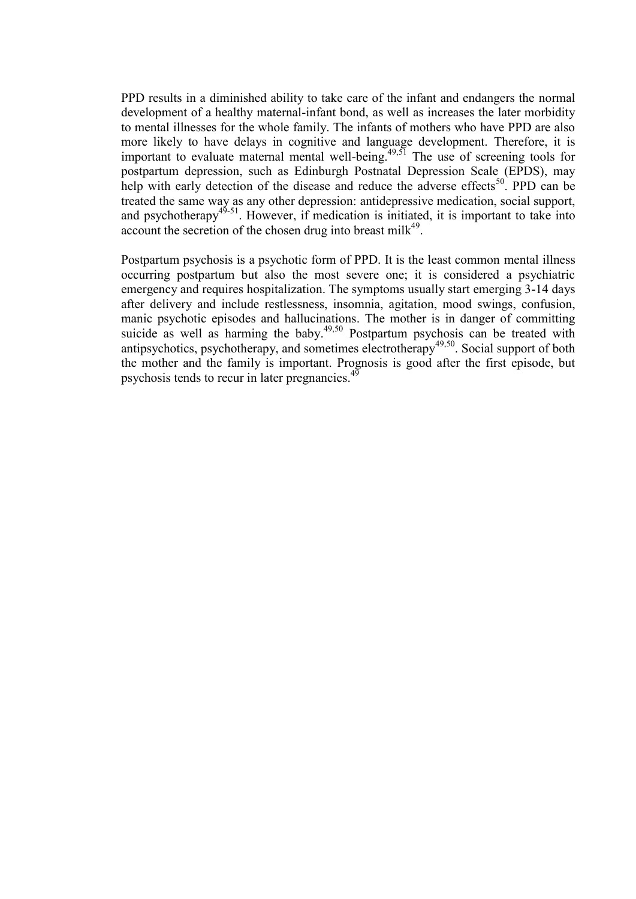PPD results in a diminished ability to take care of the infant and endangers the normal development of a healthy maternal-infant bond, as well as increases the later morbidity to mental illnesses for the whole family. The infants of mothers who have PPD are also more likely to have delays in cognitive and language development. Therefore, it is important to evaluate maternal mental well-being.<sup> $49,51$ </sup> The use of screening tools for postpartum depression, such as Edinburgh Postnatal Depression Scale (EPDS), may help with early detection of the disease and reduce the adverse effects<sup>50</sup>. PPD can be treated the same way as any other depression: antidepressive medication, social support, and psychotherapy<sup>45-51</sup>. However, if medication is initiated, it is important to take into account the secretion of the chosen drug into breast milk $49$ .

Postpartum psychosis is a psychotic form of PPD. It is the least common mental illness occurring postpartum but also the most severe one; it is considered a psychiatric emergency and requires hospitalization. The symptoms usually start emerging 3-14 days after delivery and include restlessness, insomnia, agitation, mood swings, confusion, manic psychotic episodes and hallucinations. The mother is in danger of committing suicide as well as harming the baby.<sup>49,50</sup> Postpartum psychosis can be treated with antipsychotics, psychotherapy, and sometimes electrotherapy<sup>49,50</sup>. Social support of both the mother and the family is important. Prognosis is good after the first episode, but psychosis tends to recur in later pregnancies.<sup>49</sup>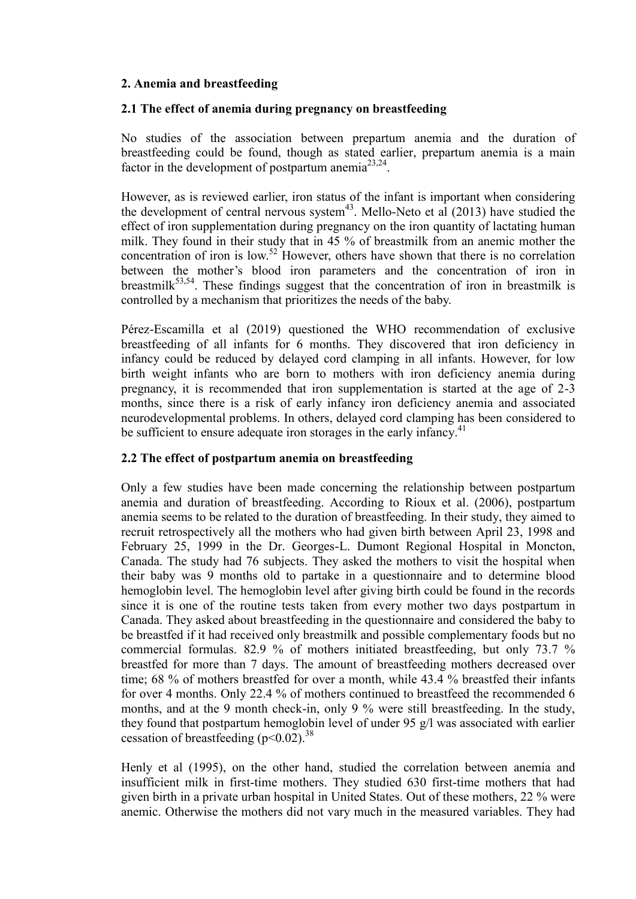# **2. Anemia and breastfeeding**

## **2.1 The effect of anemia during pregnancy on breastfeeding**

No studies of the association between prepartum anemia and the duration of breastfeeding could be found, though as stated earlier, prepartum anemia is a main factor in the development of postpartum anemia<sup>23,24</sup>.

However, as is reviewed earlier, iron status of the infant is important when considering the development of central nervous system<sup>43</sup>. Mello-Neto et al  $(2013)$  have studied the effect of iron supplementation during pregnancy on the iron quantity of lactating human milk. They found in their study that in 45 % of breastmilk from an anemic mother the concentration of iron is low.<sup>52</sup> However, others have shown that there is no correlation between the mother's blood iron parameters and the concentration of iron in breastmilk<sup>53,54</sup>. These findings suggest that the concentration of iron in breastmilk is controlled by a mechanism that prioritizes the needs of the baby.

Pérez-Escamilla et al (2019) questioned the WHO recommendation of exclusive breastfeeding of all infants for 6 months. They discovered that iron deficiency in infancy could be reduced by delayed cord clamping in all infants. However, for low birth weight infants who are born to mothers with iron deficiency anemia during pregnancy, it is recommended that iron supplementation is started at the age of 2-3 months, since there is a risk of early infancy iron deficiency anemia and associated neurodevelopmental problems. In others, delayed cord clamping has been considered to be sufficient to ensure adequate iron storages in the early infancy.<sup>41</sup>

# **2.2 The effect of postpartum anemia on breastfeeding**

Only a few studies have been made concerning the relationship between postpartum anemia and duration of breastfeeding. According to Rioux et al. (2006), postpartum anemia seems to be related to the duration of breastfeeding. In their study, they aimed to recruit retrospectively all the mothers who had given birth between April 23, 1998 and February 25, 1999 in the Dr. Georges-L. Dumont Regional Hospital in Moncton, Canada. The study had 76 subjects. They asked the mothers to visit the hospital when their baby was 9 months old to partake in a questionnaire and to determine blood hemoglobin level. The hemoglobin level after giving birth could be found in the records since it is one of the routine tests taken from every mother two days postpartum in Canada. They asked about breastfeeding in the questionnaire and considered the baby to be breastfed if it had received only breastmilk and possible complementary foods but no commercial formulas. 82.9 % of mothers initiated breastfeeding, but only 73.7 % breastfed for more than 7 days. The amount of breastfeeding mothers decreased over time; 68 % of mothers breastfed for over a month, while 43.4 % breastfed their infants for over 4 months. Only 22.4 % of mothers continued to breastfeed the recommended 6 months, and at the 9 month check-in, only 9 % were still breastfeeding. In the study, they found that postpartum hemoglobin level of under 95 g/l was associated with earlier cessation of breastfeeding  $(p< 0.02)^{38}$ 

Henly et al (1995), on the other hand, studied the correlation between anemia and insufficient milk in first-time mothers. They studied 630 first-time mothers that had given birth in a private urban hospital in United States. Out of these mothers, 22 % were anemic. Otherwise the mothers did not vary much in the measured variables. They had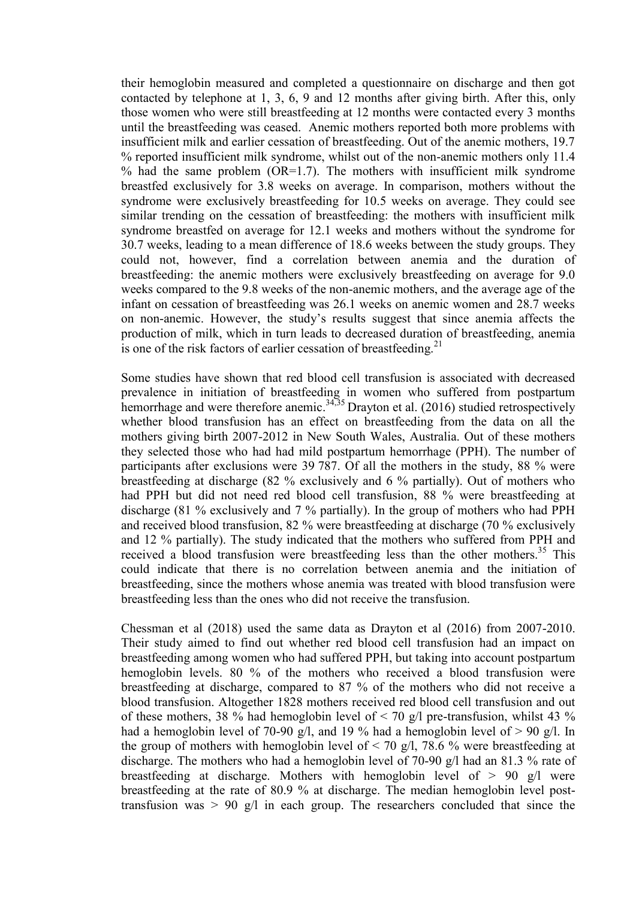their hemoglobin measured and completed a questionnaire on discharge and then got contacted by telephone at 1, 3, 6, 9 and 12 months after giving birth. After this, only those women who were still breastfeeding at 12 months were contacted every 3 months until the breastfeeding was ceased. Anemic mothers reported both more problems with insufficient milk and earlier cessation of breastfeeding. Out of the anemic mothers, 19.7 % reported insufficient milk syndrome, whilst out of the non-anemic mothers only 11.4 % had the same problem  $(OR=1.7)$ . The mothers with insufficient milk syndrome breastfed exclusively for 3.8 weeks on average. In comparison, mothers without the syndrome were exclusively breastfeeding for 10.5 weeks on average. They could see similar trending on the cessation of breastfeeding: the mothers with insufficient milk syndrome breastfed on average for 12.1 weeks and mothers without the syndrome for 30.7 weeks, leading to a mean difference of 18.6 weeks between the study groups. They could not, however, find a correlation between anemia and the duration of breastfeeding: the anemic mothers were exclusively breastfeeding on average for 9.0 weeks compared to the 9.8 weeks of the non-anemic mothers, and the average age of the infant on cessation of breastfeeding was 26.1 weeks on anemic women and 28.7 weeks on non-anemic. However, the study's results suggest that since anemia affects the production of milk, which in turn leads to decreased duration of breastfeeding, anemia is one of the risk factors of earlier cessation of breastfeeding.<sup>21</sup>

Some studies have shown that red blood cell transfusion is associated with decreased prevalence in initiation of breastfeeding in women who suffered from postpartum hemorrhage and were therefore anemic.<sup>34,35</sup> Drayton et al. (2016) studied retrospectively whether blood transfusion has an effect on breastfeeding from the data on all the mothers giving birth 2007-2012 in New South Wales, Australia. Out of these mothers they selected those who had had mild postpartum hemorrhage (PPH). The number of participants after exclusions were 39 787. Of all the mothers in the study, 88 % were breastfeeding at discharge (82 % exclusively and 6 % partially). Out of mothers who had PPH but did not need red blood cell transfusion, 88 % were breastfeeding at discharge (81 % exclusively and 7 % partially). In the group of mothers who had PPH and received blood transfusion, 82 % were breastfeeding at discharge (70 % exclusively and 12 % partially). The study indicated that the mothers who suffered from PPH and received a blood transfusion were breastfeeding less than the other mothers.<sup>35</sup> This could indicate that there is no correlation between anemia and the initiation of breastfeeding, since the mothers whose anemia was treated with blood transfusion were breastfeeding less than the ones who did not receive the transfusion.

Chessman et al (2018) used the same data as Drayton et al (2016) from 2007-2010. Their study aimed to find out whether red blood cell transfusion had an impact on breastfeeding among women who had suffered PPH, but taking into account postpartum hemoglobin levels. 80 % of the mothers who received a blood transfusion were breastfeeding at discharge, compared to 87 % of the mothers who did not receive a blood transfusion. Altogether 1828 mothers received red blood cell transfusion and out of these mothers, 38 % had hemoglobin level of  $\lt$  70 g/l pre-transfusion, whilst 43 % had a hemoglobin level of 70-90 g/l, and 19 % had a hemoglobin level of  $> 90$  g/l. In the group of mothers with hemoglobin level of  $\leq$  70 g/l, 78.6 % were breastfeeding at discharge. The mothers who had a hemoglobin level of 70-90 g/l had an 81.3 % rate of breastfeeding at discharge. Mothers with hemoglobin level of > 90 g/l were breastfeeding at the rate of 80.9 % at discharge. The median hemoglobin level posttransfusion was  $> 90$  g/l in each group. The researchers concluded that since the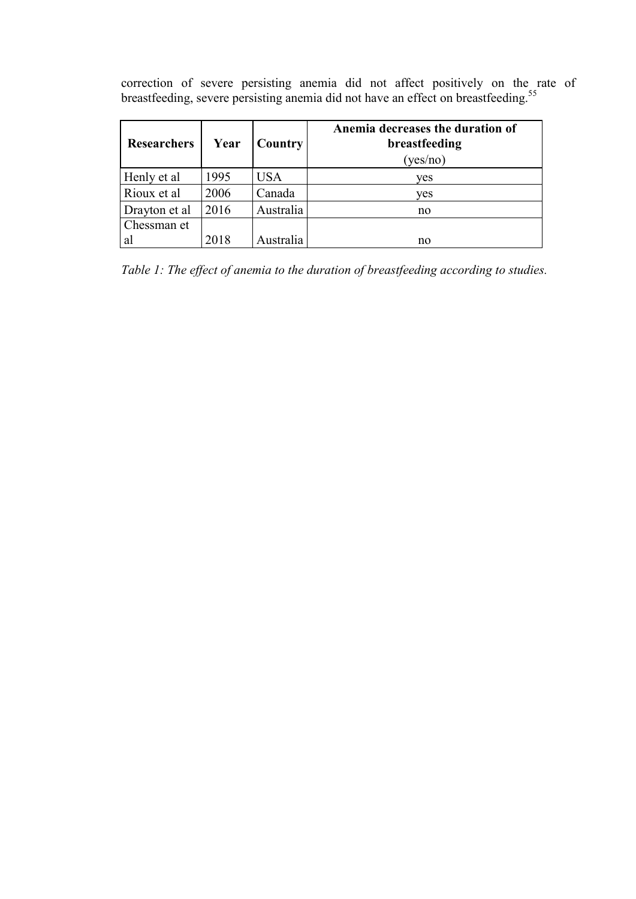correction of severe persisting anemia did not affect positively on the rate of breastfeeding, severe persisting anemia did not have an effect on breastfeeding.<sup>55</sup>

| <b>Researchers</b> | Year | Country   | Anemia decreases the duration of<br>breastfeeding<br>(yes/no) |
|--------------------|------|-----------|---------------------------------------------------------------|
| Henly et al        | 1995 | USA       | yes                                                           |
| Rioux et al        | 2006 | Canada    | ves                                                           |
| Drayton et al      | 2016 | Australia | no                                                            |
| Chessman et        |      |           |                                                               |
| al                 | 2018 | Australia | no                                                            |

*Table 1: The effect of anemia to the duration of breastfeeding according to studies.*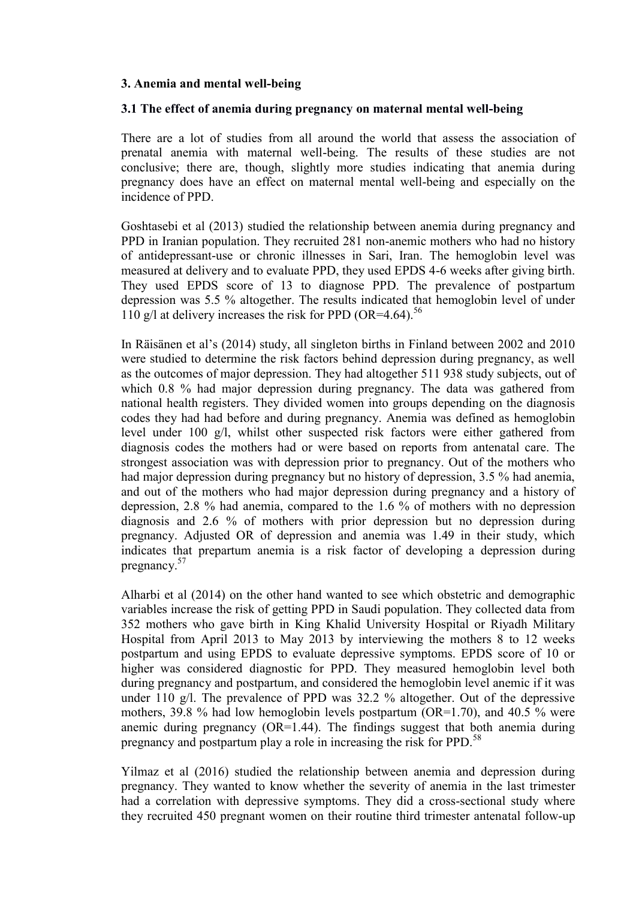### **3. Anemia and mental well-being**

### **3.1 The effect of anemia during pregnancy on maternal mental well-being**

There are a lot of studies from all around the world that assess the association of prenatal anemia with maternal well-being. The results of these studies are not conclusive; there are, though, slightly more studies indicating that anemia during pregnancy does have an effect on maternal mental well-being and especially on the incidence of PPD.

Goshtasebi et al (2013) studied the relationship between anemia during pregnancy and PPD in Iranian population. They recruited 281 non-anemic mothers who had no history of antidepressant-use or chronic illnesses in Sari, Iran. The hemoglobin level was measured at delivery and to evaluate PPD, they used EPDS 4-6 weeks after giving birth. They used EPDS score of 13 to diagnose PPD. The prevalence of postpartum depression was 5.5 % altogether. The results indicated that hemoglobin level of under 110 g/l at delivery increases the risk for PPD (OR=4.64).<sup>56</sup>

In Räisänen et al's (2014) study, all singleton births in Finland between 2002 and 2010 were studied to determine the risk factors behind depression during pregnancy, as well as the outcomes of major depression. They had altogether 511 938 study subjects, out of which 0.8 % had major depression during pregnancy. The data was gathered from national health registers. They divided women into groups depending on the diagnosis codes they had had before and during pregnancy. Anemia was defined as hemoglobin level under 100 g/l, whilst other suspected risk factors were either gathered from diagnosis codes the mothers had or were based on reports from antenatal care. The strongest association was with depression prior to pregnancy. Out of the mothers who had major depression during pregnancy but no history of depression, 3.5 % had anemia, and out of the mothers who had major depression during pregnancy and a history of depression, 2.8 % had anemia, compared to the 1.6 % of mothers with no depression diagnosis and 2.6 % of mothers with prior depression but no depression during pregnancy. Adjusted OR of depression and anemia was 1.49 in their study, which indicates that prepartum anemia is a risk factor of developing a depression during pregnancy.<sup>57</sup>

Alharbi et al (2014) on the other hand wanted to see which obstetric and demographic variables increase the risk of getting PPD in Saudi population. They collected data from 352 mothers who gave birth in King Khalid University Hospital or Riyadh Military Hospital from April 2013 to May 2013 by interviewing the mothers 8 to 12 weeks postpartum and using EPDS to evaluate depressive symptoms. EPDS score of 10 or higher was considered diagnostic for PPD. They measured hemoglobin level both during pregnancy and postpartum, and considered the hemoglobin level anemic if it was under 110 g/l. The prevalence of PPD was 32.2 % altogether. Out of the depressive mothers, 39.8 % had low hemoglobin levels postpartum ( $OR=1.70$ ), and 40.5 % were anemic during pregnancy  $(OR=1.44)$ . The findings suggest that both anemia during pregnancy and postpartum play a role in increasing the risk for PPD.<sup>58</sup>

Yilmaz et al (2016) studied the relationship between anemia and depression during pregnancy. They wanted to know whether the severity of anemia in the last trimester had a correlation with depressive symptoms. They did a cross-sectional study where they recruited 450 pregnant women on their routine third trimester antenatal follow-up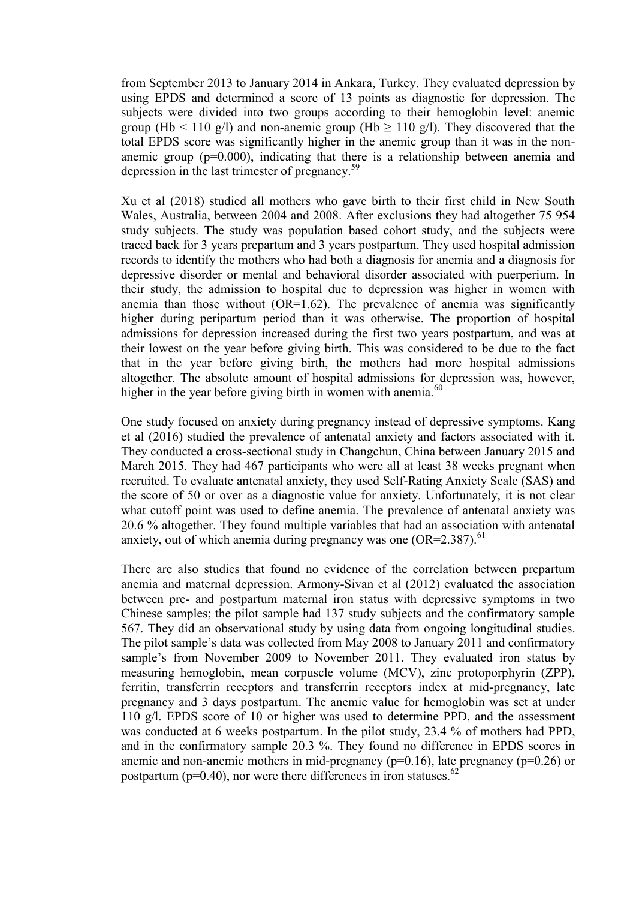from September 2013 to January 2014 in Ankara, Turkey. They evaluated depression by using EPDS and determined a score of 13 points as diagnostic for depression. The subjects were divided into two groups according to their hemoglobin level: anemic group (Hb < 110 g/l) and non-anemic group (Hb  $\geq$  110 g/l). They discovered that the total EPDS score was significantly higher in the anemic group than it was in the nonanemic group  $(p=0.000)$ , indicating that there is a relationship between anemia and depression in the last trimester of pregnancy.<sup>59</sup>

Xu et al (2018) studied all mothers who gave birth to their first child in New South Wales, Australia, between 2004 and 2008. After exclusions they had altogether 75 954 study subjects. The study was population based cohort study, and the subjects were traced back for 3 years prepartum and 3 years postpartum. They used hospital admission records to identify the mothers who had both a diagnosis for anemia and a diagnosis for depressive disorder or mental and behavioral disorder associated with puerperium. In their study, the admission to hospital due to depression was higher in women with anemia than those without  $(OR=1.62)$ . The prevalence of anemia was significantly higher during peripartum period than it was otherwise. The proportion of hospital admissions for depression increased during the first two years postpartum, and was at their lowest on the year before giving birth. This was considered to be due to the fact that in the year before giving birth, the mothers had more hospital admissions altogether. The absolute amount of hospital admissions for depression was, however, higher in the year before giving birth in women with anemia. $^{60}$ 

One study focused on anxiety during pregnancy instead of depressive symptoms. Kang et al (2016) studied the prevalence of antenatal anxiety and factors associated with it. They conducted a cross-sectional study in Changchun, China between January 2015 and March 2015. They had 467 participants who were all at least 38 weeks pregnant when recruited. To evaluate antenatal anxiety, they used Self-Rating Anxiety Scale (SAS) and the score of 50 or over as a diagnostic value for anxiety. Unfortunately, it is not clear what cutoff point was used to define anemia. The prevalence of antenatal anxiety was 20.6 % altogether. They found multiple variables that had an association with antenatal anxiety, out of which anemia during pregnancy was one  $(OR=2.387)$ .<sup>61</sup>

There are also studies that found no evidence of the correlation between prepartum anemia and maternal depression. Armony-Sivan et al (2012) evaluated the association between pre- and postpartum maternal iron status with depressive symptoms in two Chinese samples; the pilot sample had 137 study subjects and the confirmatory sample 567. They did an observational study by using data from ongoing longitudinal studies. The pilot sample's data was collected from May 2008 to January 2011 and confirmatory sample's from November 2009 to November 2011. They evaluated iron status by measuring hemoglobin, mean corpuscle volume (MCV), zinc protoporphyrin (ZPP), ferritin, transferrin receptors and transferrin receptors index at mid-pregnancy, late pregnancy and 3 days postpartum. The anemic value for hemoglobin was set at under 110 g/l. EPDS score of 10 or higher was used to determine PPD, and the assessment was conducted at 6 weeks postpartum. In the pilot study, 23.4 % of mothers had PPD, and in the confirmatory sample 20.3 %. They found no difference in EPDS scores in anemic and non-anemic mothers in mid-pregnancy ( $p=0.16$ ), late pregnancy ( $p=0.26$ ) or postpartum ( $p=0.40$ ), nor were there differences in iron statuses.<sup>62</sup>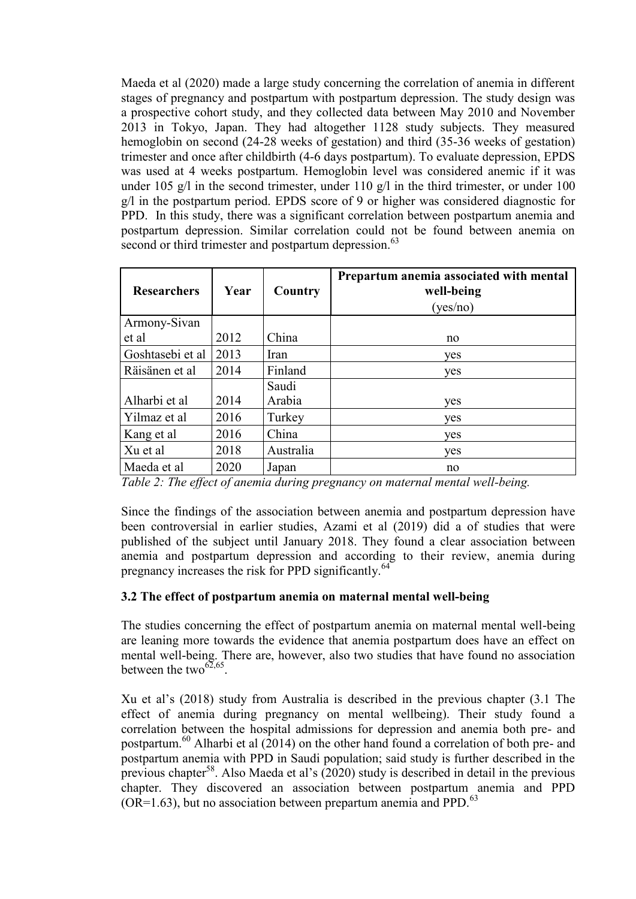Maeda et al (2020) made a large study concerning the correlation of anemia in different stages of pregnancy and postpartum with postpartum depression. The study design was a prospective cohort study, and they collected data between May 2010 and November 2013 in Tokyo, Japan. They had altogether 1128 study subjects. They measured hemoglobin on second (24-28 weeks of gestation) and third (35-36 weeks of gestation) trimester and once after childbirth (4-6 days postpartum). To evaluate depression, EPDS was used at 4 weeks postpartum. Hemoglobin level was considered anemic if it was under 105 g/l in the second trimester, under 110 g/l in the third trimester, or under 100 g/l in the postpartum period. EPDS score of 9 or higher was considered diagnostic for PPD. In this study, there was a significant correlation between postpartum anemia and postpartum depression. Similar correlation could not be found between anemia on second or third trimester and postpartum depression.<sup>63</sup>

| <b>Researchers</b> | Year | Country   | Prepartum anemia associated with mental<br>well-being<br>(yes/no) |
|--------------------|------|-----------|-------------------------------------------------------------------|
| Armony-Sivan       |      |           |                                                                   |
| et al              | 2012 | China     | no                                                                |
| Goshtasebi et al   | 2013 | Iran      | yes                                                               |
| Räisänen et al     | 2014 | Finland   | yes                                                               |
|                    |      | Saudi     |                                                                   |
| Alharbi et al      | 2014 | Arabia    | yes                                                               |
| Yilmaz et al       | 2016 | Turkey    | yes                                                               |
| Kang et al         | 2016 | China     | yes                                                               |
| Xu et al           | 2018 | Australia | yes                                                               |
| Maeda et al        | 2020 | Japan     | no                                                                |

*Table 2: The effect of anemia during pregnancy on maternal mental well-being.*

Since the findings of the association between anemia and postpartum depression have been controversial in earlier studies, Azami et al (2019) did a of studies that were published of the subject until January 2018. They found a clear association between anemia and postpartum depression and according to their review, anemia during pregnancy increases the risk for PPD significantly.<sup>64</sup>

# **3.2 The effect of postpartum anemia on maternal mental well-being**

The studies concerning the effect of postpartum anemia on maternal mental well-being are leaning more towards the evidence that anemia postpartum does have an effect on mental well-being. There are, however, also two studies that have found no association between the two $^{62,65}$ .

Xu et al's (2018) study from Australia is described in the previous chapter (3.1 The effect of anemia during pregnancy on mental wellbeing). Their study found a correlation between the hospital admissions for depression and anemia both pre- and postpartum.<sup>60</sup> Alharbi et al  $(2014)$  on the other hand found a correlation of both pre- and postpartum anemia with PPD in Saudi population; said study is further described in the previous chapter<sup>58</sup>. Also Maeda et al's  $(2020)$  study is described in detail in the previous chapter. They discovered an association between postpartum anemia and PPD  $(OR=1.63)$ , but no association between prepartum anemia and PPD.<sup>63</sup>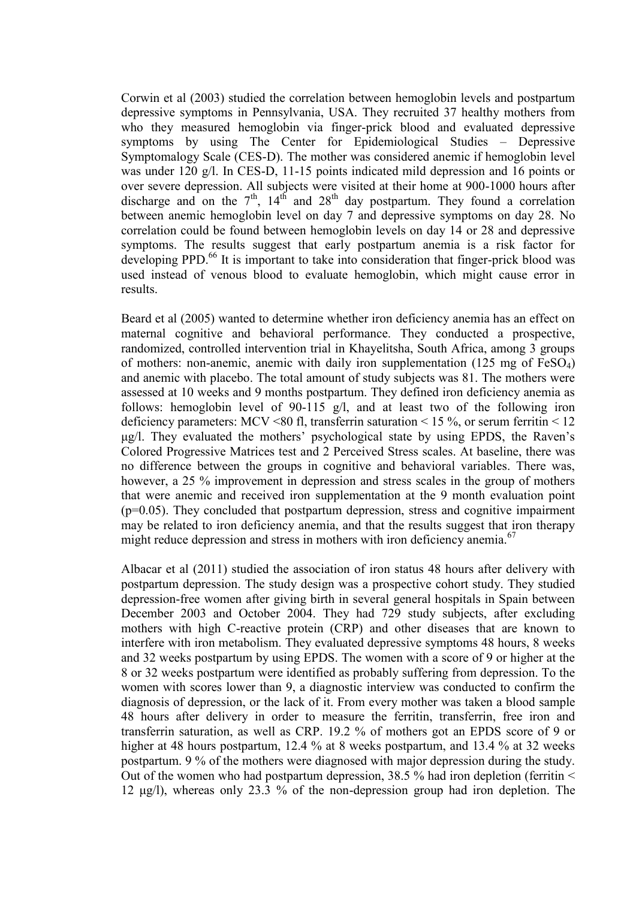Corwin et al (2003) studied the correlation between hemoglobin levels and postpartum depressive symptoms in Pennsylvania, USA. They recruited 37 healthy mothers from who they measured hemoglobin via finger-prick blood and evaluated depressive symptoms by using The Center for Epidemiological Studies – Depressive Symptomalogy Scale (CES-D). The mother was considered anemic if hemoglobin level was under 120 g/l. In CES-D, 11-15 points indicated mild depression and 16 points or over severe depression. All subjects were visited at their home at 900-1000 hours after discharge and on the  $7<sup>th</sup>$ ,  $14<sup>th</sup>$  and  $28<sup>th</sup>$  day postpartum. They found a correlation between anemic hemoglobin level on day 7 and depressive symptoms on day 28. No correlation could be found between hemoglobin levels on day 14 or 28 and depressive symptoms. The results suggest that early postpartum anemia is a risk factor for developing PPD.<sup>66</sup> It is important to take into consideration that finger-prick blood was used instead of venous blood to evaluate hemoglobin, which might cause error in results.

Beard et al (2005) wanted to determine whether iron deficiency anemia has an effect on maternal cognitive and behavioral performance. They conducted a prospective, randomized, controlled intervention trial in Khayelitsha, South Africa, among 3 groups of mothers: non-anemic, anemic with daily iron supplementation  $(125 \text{ mg of FeSO}_4)$ and anemic with placebo. The total amount of study subjects was 81. The mothers were assessed at 10 weeks and 9 months postpartum. They defined iron deficiency anemia as follows: hemoglobin level of 90-115 g/l, and at least two of the following iron deficiency parameters: MCV <80 fl, transferrin saturation < 15 %, or serum ferritin < 12 μg/l. They evaluated the mothers' psychological state by using EPDS, the Raven's Colored Progressive Matrices test and 2 Perceived Stress scales. At baseline, there was no difference between the groups in cognitive and behavioral variables. There was, however, a 25 % improvement in depression and stress scales in the group of mothers that were anemic and received iron supplementation at the 9 month evaluation point  $(p=0.05)$ . They concluded that postpartum depression, stress and cognitive impairment may be related to iron deficiency anemia, and that the results suggest that iron therapy might reduce depression and stress in mothers with iron deficiency anemia.<sup>67</sup>

Albacar et al (2011) studied the association of iron status 48 hours after delivery with postpartum depression. The study design was a prospective cohort study. They studied depression-free women after giving birth in several general hospitals in Spain between December 2003 and October 2004. They had 729 study subjects, after excluding mothers with high C-reactive protein (CRP) and other diseases that are known to interfere with iron metabolism. They evaluated depressive symptoms 48 hours, 8 weeks and 32 weeks postpartum by using EPDS. The women with a score of 9 or higher at the 8 or 32 weeks postpartum were identified as probably suffering from depression. To the women with scores lower than 9, a diagnostic interview was conducted to confirm the diagnosis of depression, or the lack of it. From every mother was taken a blood sample 48 hours after delivery in order to measure the ferritin, transferrin, free iron and transferrin saturation, as well as CRP. 19.2 % of mothers got an EPDS score of 9 or higher at 48 hours postpartum, 12.4 % at 8 weeks postpartum, and 13.4 % at 32 weeks postpartum. 9 % of the mothers were diagnosed with major depression during the study. Out of the women who had postpartum depression, 38.5 % had iron depletion (ferritin < 12 μg/l), whereas only 23.3 % of the non-depression group had iron depletion. The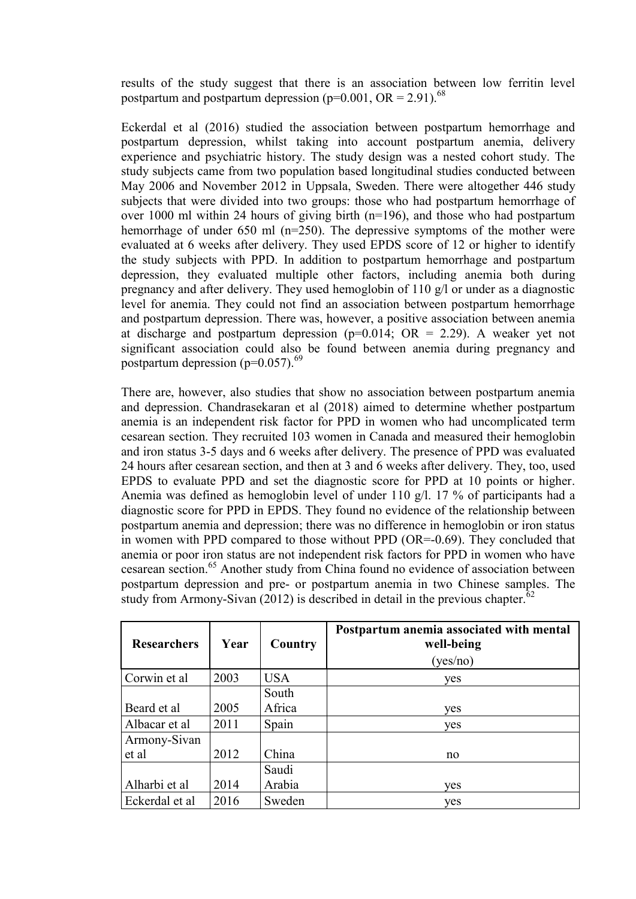results of the study suggest that there is an association between low ferritin level postpartum and postpartum depression ( $p=0.001$ , OR = 2.91).<sup>68</sup>

Eckerdal et al (2016) studied the association between postpartum hemorrhage and postpartum depression, whilst taking into account postpartum anemia, delivery experience and psychiatric history. The study design was a nested cohort study. The study subjects came from two population based longitudinal studies conducted between May 2006 and November 2012 in Uppsala, Sweden. There were altogether 446 study subjects that were divided into two groups: those who had postpartum hemorrhage of over 1000 ml within 24 hours of giving birth (n=196), and those who had postpartum hemorrhage of under 650 ml (n=250). The depressive symptoms of the mother were evaluated at 6 weeks after delivery. They used EPDS score of 12 or higher to identify the study subjects with PPD. In addition to postpartum hemorrhage and postpartum depression, they evaluated multiple other factors, including anemia both during pregnancy and after delivery. They used hemoglobin of 110 g/l or under as a diagnostic level for anemia. They could not find an association between postpartum hemorrhage and postpartum depression. There was, however, a positive association between anemia at discharge and postpartum depression ( $p=0.014$ ; OR = 2.29). A weaker yet not significant association could also be found between anemia during pregnancy and postpartum depression ( $p=0.057$ ).<sup>69</sup>

There are, however, also studies that show no association between postpartum anemia and depression. Chandrasekaran et al (2018) aimed to determine whether postpartum anemia is an independent risk factor for PPD in women who had uncomplicated term cesarean section. They recruited 103 women in Canada and measured their hemoglobin and iron status 3-5 days and 6 weeks after delivery. The presence of PPD was evaluated 24 hours after cesarean section, and then at 3 and 6 weeks after delivery. They, too, used EPDS to evaluate PPD and set the diagnostic score for PPD at 10 points or higher. Anemia was defined as hemoglobin level of under 110 g/l. 17 % of participants had a diagnostic score for PPD in EPDS. They found no evidence of the relationship between postpartum anemia and depression; there was no difference in hemoglobin or iron status in women with PPD compared to those without PPD (OR=-0.69). They concluded that anemia or poor iron status are not independent risk factors for PPD in women who have cesarean section.<sup>65</sup> Another study from China found no evidence of association between postpartum depression and pre- or postpartum anemia in two Chinese samples. The study from Armony-Sivan (2012) is described in detail in the previous chapter.<sup>62</sup>

| <b>Researchers</b> | Year | Country    | Postpartum anemia associated with mental<br>well-being<br>(yes/no) |
|--------------------|------|------------|--------------------------------------------------------------------|
| Corwin et al       | 2003 | <b>USA</b> | yes                                                                |
|                    |      | South      |                                                                    |
| Beard et al        | 2005 | Africa     | yes                                                                |
| Albacar et al      | 2011 | Spain      | yes                                                                |
| Armony-Sivan       |      |            |                                                                    |
| et al              | 2012 | China      | no                                                                 |
|                    |      | Saudi      |                                                                    |
| Alharbi et al      | 2014 | Arabia     | yes                                                                |
| Eckerdal et al     | 2016 | Sweden     | yes                                                                |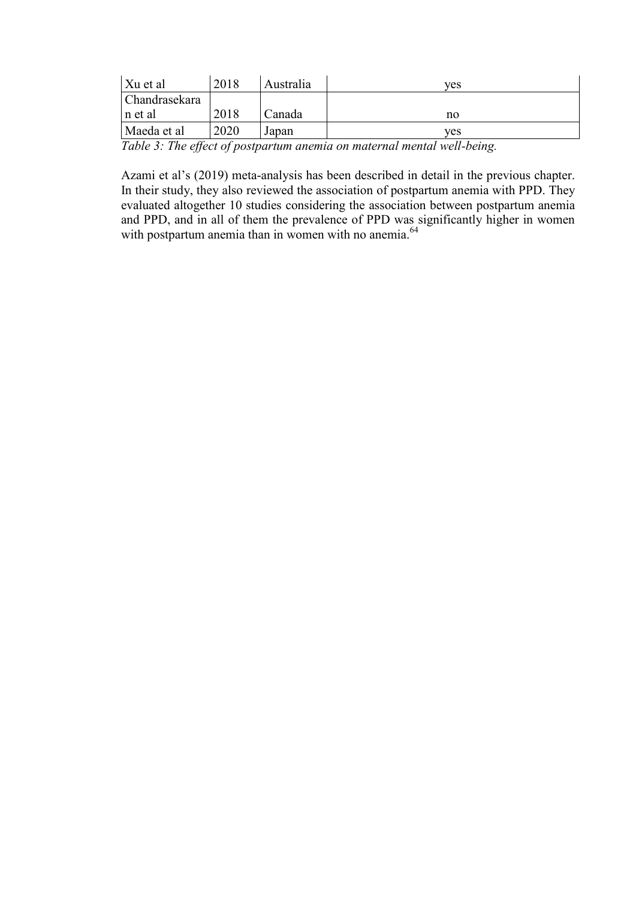| Xu et al      | 2018 | Australia | ves |
|---------------|------|-----------|-----|
| Chandrasekara |      |           |     |
| In et al      | 2018 | Canada    | no  |
| Maeda et al   | 2020 | Japan     | ves |
| $ -$          |      |           |     |

*Table 3: The effect of postpartum anemia on maternal mental well-being.*

Azami et al's (2019) meta-analysis has been described in detail in the previous chapter. In their study, they also reviewed the association of postpartum anemia with PPD. They evaluated altogether 10 studies considering the association between postpartum anemia and PPD, and in all of them the prevalence of PPD was significantly higher in women with postpartum anemia than in women with no anemia.<sup>64</sup>